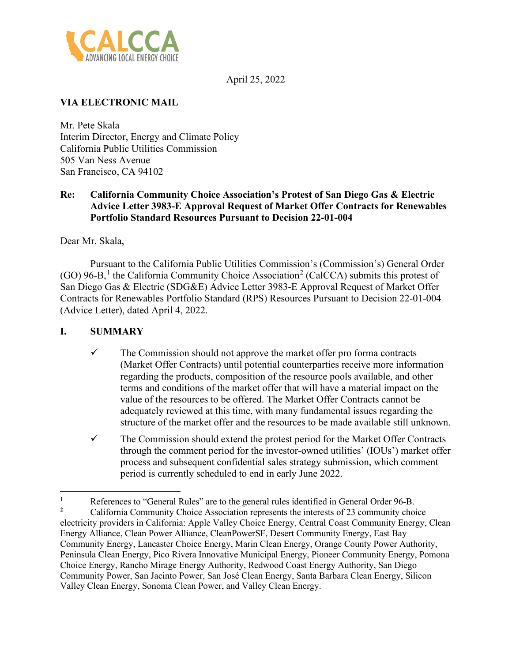

April 25, 2022

# **VIA ELECTRONIC MAIL**

Mr. Pete Skala Interim Director, Energy and Climate Policy California Public Utilities Commission 505 Van Ness Avenue San Francisco, CA 94102

# **Re: California Community Choice Association's Protest of San Diego Gas & Electric Advice Letter 3983-E Approval Request of Market Offer Contracts for Renewables Portfolio Standard Resources Pursuant to Decision 22-01-004**

Dear Mr. Skala,

Pursuant to the California Public Utilities Commission's (Commission's) General Order (GO) 96-B,<sup>[1](#page-0-0)</sup> the California Community Choice Association<sup>[2](#page-0-1)</sup> (CalCCA) submits this protest of San Diego Gas & Electric (SDG&E) Advice Letter 3983-E Approval Request of Market Offer Contracts for Renewables Portfolio Standard (RPS) Resources Pursuant to Decision 22-01-004 (Advice Letter), dated April 4, 2022.

# **I. SUMMARY**

- $\checkmark$  The Commission should not approve the market offer pro forma contracts (Market Offer Contracts) until potential counterparties receive more information regarding the products, composition of the resource pools available, and other terms and conditions of the market offer that will have a material impact on the value of the resources to be offered. The Market Offer Contracts cannot be adequately reviewed at this time, with many fundamental issues regarding the structure of the market offer and the resources to be made available still unknown.
- $\checkmark$  The Commission should extend the protest period for the Market Offer Contracts through the comment period for the investor-owned utilities' (IOUs') market offer process and subsequent confidential sales strategy submission, which comment period is currently scheduled to end in early June 2022.

<span id="page-0-0"></span><sup>1</sup> References to "General Rules" are to the general rules identified in General Order 96-B.<br>Colifornia Community Choice Association represents the interests of 23 community show

<span id="page-0-1"></span>**<sup>2</sup>**California Community Choice Association represents the interests of 23 community choice electricity providers in California: Apple Valley Choice Energy, Central Coast Community Energy, Clean Energy Alliance, Clean Power Alliance, CleanPowerSF, Desert Community Energy, East Bay Community Energy, Lancaster Choice Energy, Marin Clean Energy, Orange County Power Authority, Peninsula Clean Energy, Pico Rivera Innovative Municipal Energy, Pioneer Community Energy, Pomona Choice Energy, Rancho Mirage Energy Authority, Redwood Coast Energy Authority, San Diego Community Power, San Jacinto Power, San José Clean Energy, Santa Barbara Clean Energy, Silicon Valley Clean Energy, Sonoma Clean Power, and Valley Clean Energy.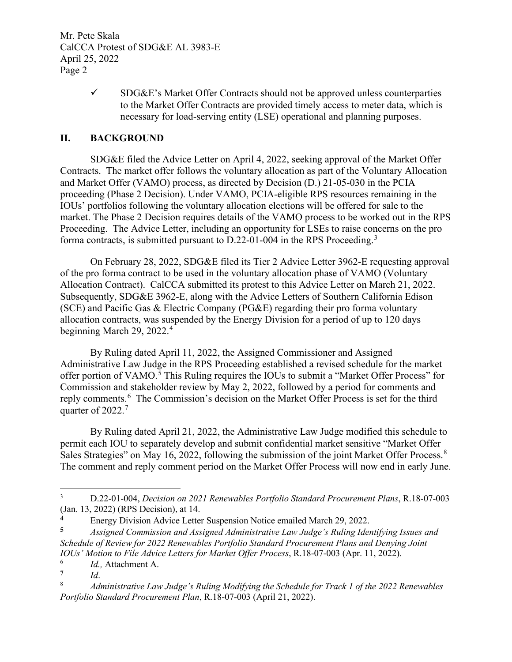Mr. Pete Skala CalCCA Protest of SDG&E AL 3983-E April 25, 2022 Page 2

> $\checkmark$  SDG&E's Market Offer Contracts should not be approved unless counterparties to the Market Offer Contracts are provided timely access to meter data, which is necessary for load-serving entity (LSE) operational and planning purposes.

### **II. BACKGROUND**

SDG&E filed the Advice Letter on April 4, 2022, seeking approval of the Market Offer Contracts. The market offer follows the voluntary allocation as part of the Voluntary Allocation and Market Offer (VAMO) process, as directed by Decision (D.) 21-05-030 in the PCIA proceeding (Phase 2 Decision). Under VAMO, PCIA-eligible RPS resources remaining in the IOUs' portfolios following the voluntary allocation elections will be offered for sale to the market. The Phase 2 Decision requires details of the VAMO process to be worked out in the RPS Proceeding. The Advice Letter, including an opportunity for LSEs to raise concerns on the pro forma contracts, is submitted pursuant to D.22-01-004 in the RPS Proceeding.<sup>[3](#page-1-0)</sup>

On February 28, 2022, SDG&E filed its Tier 2 Advice Letter 3962-E requesting approval of the pro forma contract to be used in the voluntary allocation phase of VAMO (Voluntary Allocation Contract). CalCCA submitted its protest to this Advice Letter on March 21, 2022. Subsequently, SDG&E 3962-E, along with the Advice Letters of Southern California Edison (SCE) and Pacific Gas & Electric Company (PG&E) regarding their pro forma voluntary allocation contracts, was suspended by the Energy Division for a period of up to 120 days beginning March 29, 2022.<sup>[4](#page-1-1)</sup>

By Ruling dated April 11, 2022, the Assigned Commissioner and Assigned Administrative Law Judge in the RPS Proceeding established a revised schedule for the market offer portion of VAMO.<sup>[5](#page-1-2)</sup> This Ruling requires the IOUs to submit a "Market Offer Process" for Commission and stakeholder review by May 2, 2022, followed by a period for comments and reply comments.<sup>[6](#page-1-3)</sup> The Commission's decision on the Market Offer Process is set for the third quarter of 2022. $<sup>7</sup>$  $<sup>7</sup>$  $<sup>7</sup>$ </sup>

By Ruling dated April 21, 2022, the Administrative Law Judge modified this schedule to permit each IOU to separately develop and submit confidential market sensitive "Market Offer Sales Strategies" on May 16, 2022, following the submission of the joint Market Offer Process.<sup>[8](#page-1-5)</sup> The comment and reply comment period on the Market Offer Process will now end in early June.

<span id="page-1-2"></span>**5** *Assigned Commission and Assigned Administrative Law Judge's Ruling Identifying Issues and Schedule of Review for 2022 Renewables Portfolio Standard Procurement Plans and Denying Joint IOUs' Motion to File Advice Letters for Market Offer Process*, R.18-07-003 (Apr. 11, 2022).

<span id="page-1-0"></span><sup>3</sup> D.22-01-004, *Decision on 2021 Renewables Portfolio Standard Procurement Plans*, R.18-07-003 (Jan. 13, 2022) (RPS Decision), at 14.

<span id="page-1-1"></span><sup>&</sup>lt;sup>4</sup><br>
Energy Division Advice Letter Suspension Notice emailed March 29, 2022.<br> *Assigned Commission and Assigned Administrative Law Judge's Puling Idea* 

<span id="page-1-4"></span><span id="page-1-3"></span><sup>6</sup>  $I_d$ , Attachment A.

**<sup>7</sup>** *Id*.

<span id="page-1-5"></span><sup>8</sup> *Administrative Law Judge's Ruling Modifying the Schedule for Track 1 of the 2022 Renewables Portfolio Standard Procurement Plan*, R.18-07-003 (April 21, 2022).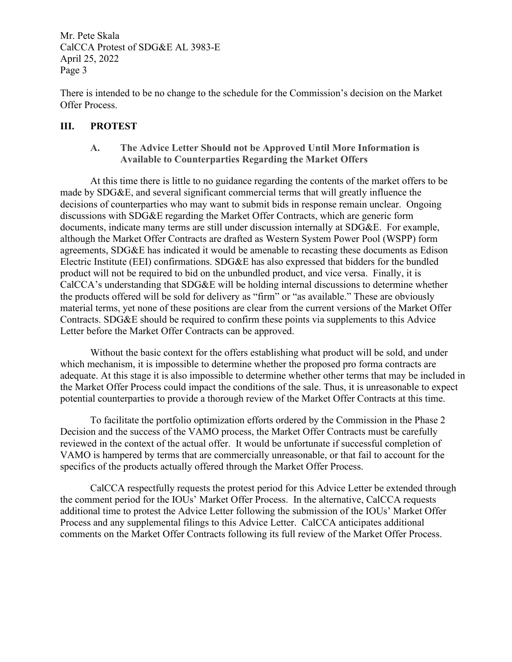Mr. Pete Skala CalCCA Protest of SDG&E AL 3983-E April 25, 2022 Page 3

There is intended to be no change to the schedule for the Commission's decision on the Market Offer Process.

### **III. PROTEST**

### **A. The Advice Letter Should not be Approved Until More Information is Available to Counterparties Regarding the Market Offers**

At this time there is little to no guidance regarding the contents of the market offers to be made by SDG&E, and several significant commercial terms that will greatly influence the decisions of counterparties who may want to submit bids in response remain unclear. Ongoing discussions with SDG&E regarding the Market Offer Contracts, which are generic form documents, indicate many terms are still under discussion internally at SDG&E. For example, although the Market Offer Contracts are drafted as Western System Power Pool (WSPP) form agreements, SDG&E has indicated it would be amenable to recasting these documents as Edison Electric Institute (EEI) confirmations. SDG&E has also expressed that bidders for the bundled product will not be required to bid on the unbundled product, and vice versa. Finally, it is CalCCA's understanding that SDG&E will be holding internal discussions to determine whether the products offered will be sold for delivery as "firm" or "as available." These are obviously material terms, yet none of these positions are clear from the current versions of the Market Offer Contracts. SDG&E should be required to confirm these points via supplements to this Advice Letter before the Market Offer Contracts can be approved.

Without the basic context for the offers establishing what product will be sold, and under which mechanism, it is impossible to determine whether the proposed pro forma contracts are adequate. At this stage it is also impossible to determine whether other terms that may be included in the Market Offer Process could impact the conditions of the sale. Thus, it is unreasonable to expect potential counterparties to provide a thorough review of the Market Offer Contracts at this time.

To facilitate the portfolio optimization efforts ordered by the Commission in the Phase 2 Decision and the success of the VAMO process, the Market Offer Contracts must be carefully reviewed in the context of the actual offer. It would be unfortunate if successful completion of VAMO is hampered by terms that are commercially unreasonable, or that fail to account for the specifics of the products actually offered through the Market Offer Process.

CalCCA respectfully requests the protest period for this Advice Letter be extended through the comment period for the IOUs' Market Offer Process. In the alternative, CalCCA requests additional time to protest the Advice Letter following the submission of the IOUs' Market Offer Process and any supplemental filings to this Advice Letter. CalCCA anticipates additional comments on the Market Offer Contracts following its full review of the Market Offer Process.